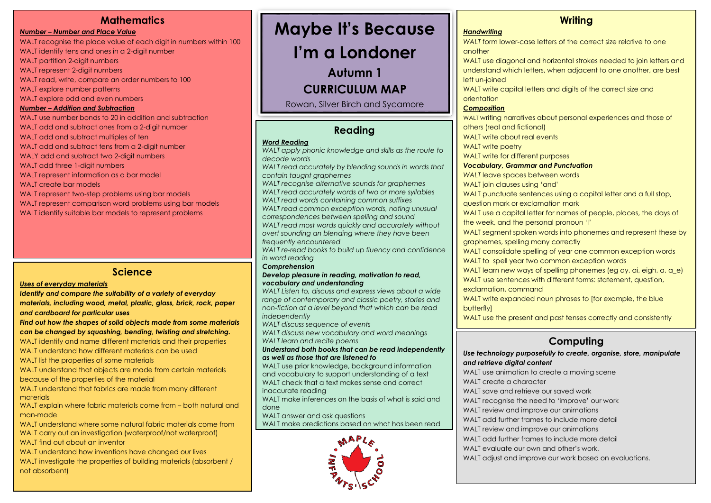### **Mathematics**

*Number – Number and Place Value* WALT recognise the place value of each digit in numbers within 100 WALT identify tens and ones in a 2-digit number WALT partition 2-digit numbers WALT represent 2-digit numbers WALT read, write, compare an order numbers to 100 WALT explore number patterns WALT explore odd and even numbers *Number – Addition and Subtraction* WALT use number bonds to 20 in addition and subtraction WALT add and subtract ones from a 2-digit number WALT add and subtract multiples of ten WALT add and subtract tens from a 2-digit number WALY add and subtract two 2-digit numbers WALT add three 1-digit numbers WALT represent information as a bar model WALT create bar models WALT represent two-step problems using bar models WALT represent comparison word problems using bar models

WALT identify suitable bar models to represent problems

### **Science**

#### *Uses of everyday materials*

*Identify and compare the suitability of a variety of everyday materials, including wood, metal, plastic, glass, brick, rock, paper and cardboard for particular uses*

*Find out how the shapes of solid objects made from some materials can be changed by squashing, bending, twisting and stretching.*

WALT identify and name different materials and their properties WALT understand how different materials can be used

WALT list the properties of some materials

WALT understand that objects are made from certain materials

because of the properties of the material

WALT understand that fabrics are made from many different materials

WALT explain where fabric materials come from – both natural and man-made

WALT understand where some natural fabric materials come from WALT carry out an investigation (waterproof/not waterproof)

WALT find out about an inventor

WALT understand how inventions have changed our lives WALT investigate the properties of building materials (absorbent / not absorbent)

# **Maybe It's Because**

**I'm a Londoner**

**Autumn 1**

**CURRICULUM MAP**

Rowan, Silver Birch and Sycamore

## **Reading** Classes

#### *Word Reading*

*WALT apply phonic knowledge and skills as the route to decode words WALT read accurately by blending sounds in words that contain taught graphemes WALT recognise alternative sounds for graphemes WALT read accurately words of two or more syllables WALT read words containing common suffixes WALT read common exception words, noting unusual correspondences between spelling and sound WALT read most words quickly and accurately without overt sounding an blending where they have been frequently encountered WALT re-read books to build up fluency and confidence in word reading*

#### *Comprehension*

#### *Develop pleasure in reading, motivation to read, vocabulary and understanding*

*WALT Listen to, discuss and express views about a wide range of contemporary and classic poetry, stories and non-fiction at a level beyond that which can be read independently*

*WALT discuss sequence of events*

*WALT discuss new vocabulary and word meanings WALT learn and recite poems*

*Understand both books that can be read independently as well as those that are listened to*

WALT use prior knowledge, background information and vocabulary to support understanding of a text WALT check that a text makes sense and correct inaccurate reading

WALT make inferences on the basis of what is said and done

WALT answer and ask auestions WALT make predictions based on what has been read



## **Writing**

*Handwriting*

*WALT* form lower-case letters of the correct size relative to one another

WALT use diagonal and horizontal strokes needed to join letters and understand which letters, when adjacent to one another, are best left un-joined

WALT write capital letters and digits of the correct size and orientation

### *Composition*

WALT writing narratives about personal experiences and those of others (real and fictional) WALT write about real events

WALT write poetry

WALT write for different purposes

#### *Vocabulary, Grammar and Punctuation*

**WALT** leave spaces between words

WALT join clauses using 'and'

WALT punctuate sentences using a capital letter and a full stop.

question mark or exclamation mark

WALT use a capital letter for names of people, places, the days of

the week, and the personal pronoun 'I'

WALT segment spoken words into phonemes and represent these by graphemes, spelling many correctly

WALT consolidate spelling of year one common exception words WALT to spell year two common exception words

WALT learn new ways of spelling phonemes (eg ay, ai, eigh, a, a\_e) WALT use sentences with different forms: statement, question, exclamation, command

WALT write expanded noun phrases to [for example, the blue butterfly]

WALT use the present and past tenses correctly and consistently

# **Computing**

*Use technology purposefully to create, organise, store, manipulate and retrieve digital content*

WALT use animation to create a moving scene WALT create a character WALT save and retrieve our saved work WALT recognise the need to 'improve' our work WALT review and improve our animations WALT add further frames to include more detail WALT review and improve our animations WALT add further frames to include more detail WALT evaluate our own and other's work. WALT adjust and improve our work based on evaluations.